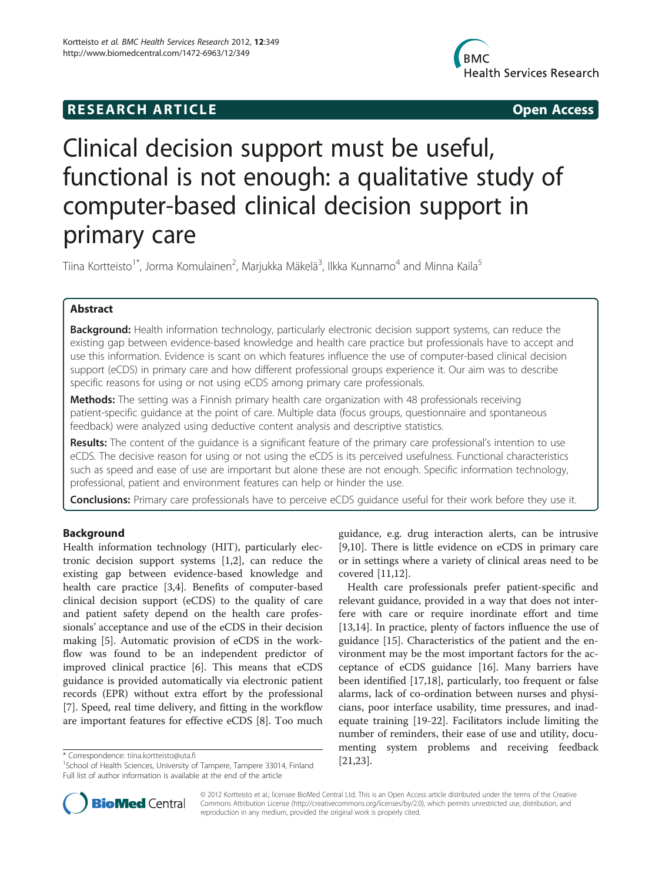# **RESEARCH ARTICLE Example 2014 12:30 The SEAR CHA RTICLE**



# Clinical decision support must be useful, functional is not enough: a qualitative study of computer-based clinical decision support in primary care

Tiina Kortteisto<sup>1\*</sup>, Jorma Komulainen<sup>2</sup>, Marjukka Mäkelä<sup>3</sup>, Ilkka Kunnamo<sup>4</sup> and Minna Kaila<sup>5</sup>

# Abstract

Background: Health information technology, particularly electronic decision support systems, can reduce the existing gap between evidence-based knowledge and health care practice but professionals have to accept and use this information. Evidence is scant on which features influence the use of computer-based clinical decision support (eCDS) in primary care and how different professional groups experience it. Our aim was to describe specific reasons for using or not using eCDS among primary care professionals.

Methods: The setting was a Finnish primary health care organization with 48 professionals receiving patient-specific guidance at the point of care. Multiple data (focus groups, questionnaire and spontaneous feedback) were analyzed using deductive content analysis and descriptive statistics.

Results: The content of the guidance is a significant feature of the primary care professional's intention to use eCDS. The decisive reason for using or not using the eCDS is its perceived usefulness. Functional characteristics such as speed and ease of use are important but alone these are not enough. Specific information technology, professional, patient and environment features can help or hinder the use.

Conclusions: Primary care professionals have to perceive eCDS guidance useful for their work before they use it.

# Background

Health information technology (HIT), particularly electronic decision support systems [[1](#page-7-0),[2](#page-7-0)], can reduce the existing gap between evidence-based knowledge and health care practice [[3](#page-7-0),[4](#page-7-0)]. Benefits of computer-based clinical decision support (eCDS) to the quality of care and patient safety depend on the health care professionals' acceptance and use of the eCDS in their decision making [\[5](#page-7-0)]. Automatic provision of eCDS in the workflow was found to be an independent predictor of improved clinical practice [[6\]](#page-7-0). This means that eCDS guidance is provided automatically via electronic patient records (EPR) without extra effort by the professional [[7\]](#page-7-0). Speed, real time delivery, and fitting in the workflow are important features for effective eCDS [[8\]](#page-7-0). Too much



Health care professionals prefer patient-specific and relevant guidance, provided in a way that does not interfere with care or require inordinate effort and time [[13,14\]](#page-7-0). In practice, plenty of factors influence the use of guidance [[15\]](#page-7-0). Characteristics of the patient and the environment may be the most important factors for the acceptance of eCDS guidance [[16](#page-7-0)]. Many barriers have been identified [\[17,18\]](#page-7-0), particularly, too frequent or false alarms, lack of co-ordination between nurses and physicians, poor interface usability, time pressures, and inadequate training [[19-22\]](#page-7-0). Facilitators include limiting the number of reminders, their ease of use and utility, documenting system problems and receiving feedback



© 2012 Kortteisto et al.; licensee BioMed Central Ltd. This is an Open Access article distributed under the terms of the Creative Commons Attribution License [\(http://creativecommons.org/licenses/by/2.0\)](http://creativecommons.org/licenses/by/2.0), which permits unrestricted use, distribution, and reproduction in any medium, provided the original work is properly cited.

<sup>[</sup>[21,23\]](#page-7-0). \* Correspondence: [tiina.kortteisto@uta.fi](mailto:tiina.kortteisto@uta.fi) <sup>1</sup> School of Health Sciences, University of Tampere, Tampere 33014, Finland Full list of author information is available at the end of the article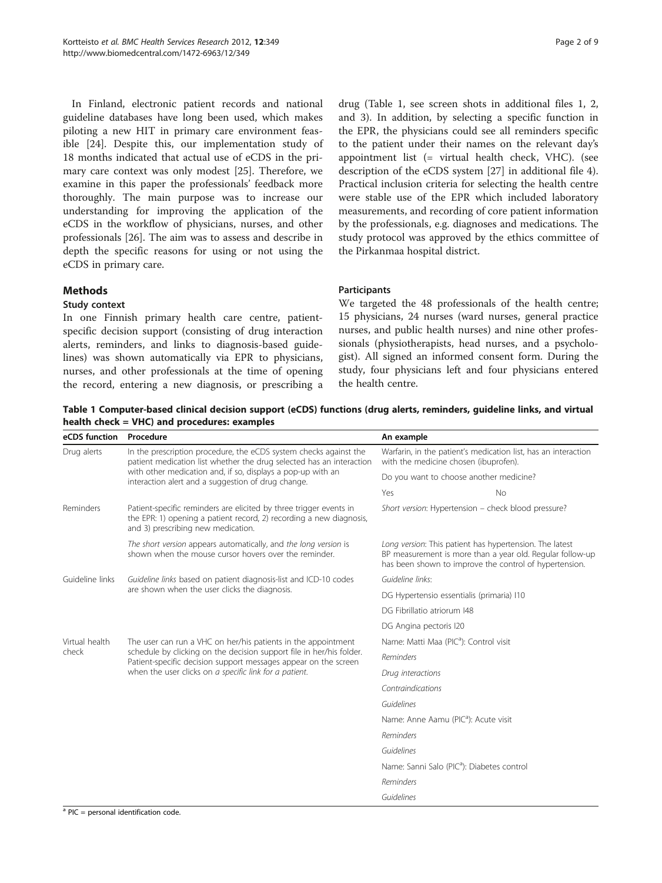In Finland, electronic patient records and national guideline databases have long been used, which makes piloting a new HIT in primary care environment feasible [[24\]](#page-7-0). Despite this, our implementation study of 18 months indicated that actual use of eCDS in the primary care context was only modest [[25\]](#page-7-0). Therefore, we examine in this paper the professionals' feedback more thoroughly. The main purpose was to increase our understanding for improving the application of the eCDS in the workflow of physicians, nurses, and other professionals [[26](#page-7-0)]. The aim was to assess and describe in depth the specific reasons for using or not using the eCDS in primary care.

#### Methods

#### Study context

In one Finnish primary health care centre, patientspecific decision support (consisting of drug interaction alerts, reminders, and links to diagnosis-based guidelines) was shown automatically via EPR to physicians, nurses, and other professionals at the time of opening the record, entering a new diagnosis, or prescribing a drug (Table 1, see screen shots in additional files [1](#page-7-0), [2](#page-7-0), and [3](#page-7-0)). In addition, by selecting a specific function in the EPR, the physicians could see all reminders specific to the patient under their names on the relevant day's appointment list (= virtual health check, VHC). (see description of the eCDS system [\[27](#page-7-0)] in additional file [4](#page-7-0)). Practical inclusion criteria for selecting the health centre were stable use of the EPR which included laboratory measurements, and recording of core patient information by the professionals, e.g. diagnoses and medications. The study protocol was approved by the ethics committee of the Pirkanmaa hospital district.

#### Participants

We targeted the 48 professionals of the health centre; 15 physicians, 24 nurses (ward nurses, general practice nurses, and public health nurses) and nine other professionals (physiotherapists, head nurses, and a psychologist). All signed an informed consent form. During the study, four physicians left and four physicians entered the health centre.

Table 1 Computer-based clinical decision support (eCDS) functions (drug alerts, reminders, guideline links, and virtual health check = VHC) and procedures: examples

| eCDS function           | Procedure                                                                                                                                                                                                                                                          | An example                                                                                                                                                                                                                            |  |  |
|-------------------------|--------------------------------------------------------------------------------------------------------------------------------------------------------------------------------------------------------------------------------------------------------------------|---------------------------------------------------------------------------------------------------------------------------------------------------------------------------------------------------------------------------------------|--|--|
| Drug alerts             | In the prescription procedure, the eCDS system checks against the<br>patient medication list whether the drug selected has an interaction<br>with other medication and, if so, displays a pop-up with an<br>interaction alert and a suggestion of drug change.     | Warfarin, in the patient's medication list, has an interaction<br>with the medicine chosen (ibuprofen).                                                                                                                               |  |  |
|                         |                                                                                                                                                                                                                                                                    | Do you want to choose another medicine?                                                                                                                                                                                               |  |  |
|                         |                                                                                                                                                                                                                                                                    | Yes<br><b>No</b>                                                                                                                                                                                                                      |  |  |
| Reminders               | Patient-specific reminders are elicited by three trigger events in<br>the EPR: 1) opening a patient record, 2) recording a new diagnosis,<br>and 3) prescribing new medication.                                                                                    | Short version: Hypertension - check blood pressure?<br>Long version: This patient has hypertension. The latest<br>BP measurement is more than a year old. Regular follow-up<br>has been shown to improve the control of hypertension. |  |  |
|                         | The short version appears automatically, and the long version is<br>shown when the mouse cursor hovers over the reminder.                                                                                                                                          |                                                                                                                                                                                                                                       |  |  |
| Guideline links         | Guideline links based on patient diagnosis-list and ICD-10 codes<br>are shown when the user clicks the diagnosis.                                                                                                                                                  | Guideline links:                                                                                                                                                                                                                      |  |  |
|                         |                                                                                                                                                                                                                                                                    | DG Hypertensio essentialis (primaria) I10                                                                                                                                                                                             |  |  |
|                         |                                                                                                                                                                                                                                                                    | DG Fibrillatio atriorum I48                                                                                                                                                                                                           |  |  |
|                         |                                                                                                                                                                                                                                                                    | DG Angina pectoris I20                                                                                                                                                                                                                |  |  |
| Virtual health<br>check | The user can run a VHC on her/his patients in the appointment<br>schedule by clicking on the decision support file in her/his folder.<br>Patient-specific decision support messages appear on the screen<br>when the user clicks on a specific link for a patient. | Name: Matti Maa (PIC <sup>a</sup> ): Control visit                                                                                                                                                                                    |  |  |
|                         |                                                                                                                                                                                                                                                                    | Reminders                                                                                                                                                                                                                             |  |  |
|                         |                                                                                                                                                                                                                                                                    | Drug interactions                                                                                                                                                                                                                     |  |  |
|                         |                                                                                                                                                                                                                                                                    | Contraindications                                                                                                                                                                                                                     |  |  |
|                         |                                                                                                                                                                                                                                                                    | Guidelines                                                                                                                                                                                                                            |  |  |
|                         |                                                                                                                                                                                                                                                                    | Name: Anne Aamu (PIC <sup>a</sup> ): Acute visit                                                                                                                                                                                      |  |  |
|                         |                                                                                                                                                                                                                                                                    | Reminders                                                                                                                                                                                                                             |  |  |
|                         |                                                                                                                                                                                                                                                                    | Guidelines                                                                                                                                                                                                                            |  |  |
|                         |                                                                                                                                                                                                                                                                    | Name: Sanni Salo (PIC <sup>a</sup> ): Diabetes control                                                                                                                                                                                |  |  |
|                         |                                                                                                                                                                                                                                                                    | Reminders                                                                                                                                                                                                                             |  |  |
|                         |                                                                                                                                                                                                                                                                    | Guidelines                                                                                                                                                                                                                            |  |  |

 $a$  PIC = personal identification code.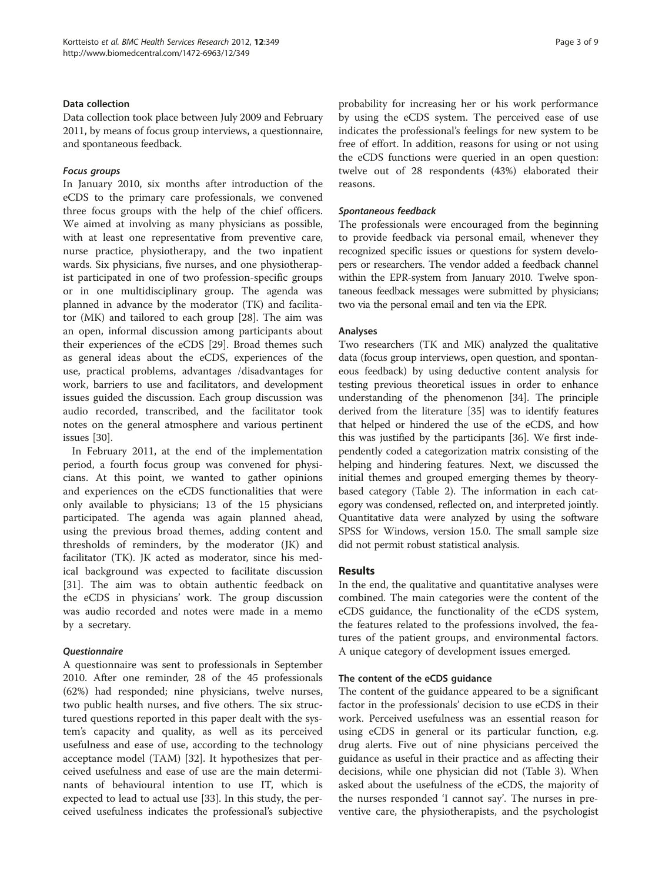#### Data collection

Data collection took place between July 2009 and February 2011, by means of focus group interviews, a questionnaire, and spontaneous feedback.

#### Focus groups

In January 2010, six months after introduction of the eCDS to the primary care professionals, we convened three focus groups with the help of the chief officers. We aimed at involving as many physicians as possible, with at least one representative from preventive care, nurse practice, physiotherapy, and the two inpatient wards. Six physicians, five nurses, and one physiotherapist participated in one of two profession-specific groups or in one multidisciplinary group. The agenda was planned in advance by the moderator (TK) and facilitator (MK) and tailored to each group [[28](#page-7-0)]. The aim was an open, informal discussion among participants about their experiences of the eCDS [[29\]](#page-7-0). Broad themes such as general ideas about the eCDS, experiences of the use, practical problems, advantages /disadvantages for work, barriers to use and facilitators, and development issues guided the discussion. Each group discussion was audio recorded, transcribed, and the facilitator took notes on the general atmosphere and various pertinent issues [\[30](#page-7-0)].

In February 2011, at the end of the implementation period, a fourth focus group was convened for physicians. At this point, we wanted to gather opinions and experiences on the eCDS functionalities that were only available to physicians; 13 of the 15 physicians participated. The agenda was again planned ahead, using the previous broad themes, adding content and thresholds of reminders, by the moderator (JK) and facilitator (TK). JK acted as moderator, since his medical background was expected to facilitate discussion [[31\]](#page-7-0). The aim was to obtain authentic feedback on the eCDS in physicians' work. The group discussion was audio recorded and notes were made in a memo by a secretary.

### Questionnaire

A questionnaire was sent to professionals in September 2010. After one reminder, 28 of the 45 professionals (62%) had responded; nine physicians, twelve nurses, two public health nurses, and five others. The six structured questions reported in this paper dealt with the system's capacity and quality, as well as its perceived usefulness and ease of use, according to the technology acceptance model (TAM) [[32](#page-7-0)]. It hypothesizes that perceived usefulness and ease of use are the main determinants of behavioural intention to use IT, which is expected to lead to actual use [\[33\]](#page-8-0). In this study, the perceived usefulness indicates the professional's subjective

probability for increasing her or his work performance by using the eCDS system. The perceived ease of use indicates the professional's feelings for new system to be free of effort. In addition, reasons for using or not using the eCDS functions were queried in an open question: twelve out of 28 respondents (43%) elaborated their reasons.

#### Spontaneous feedback

The professionals were encouraged from the beginning to provide feedback via personal email, whenever they recognized specific issues or questions for system developers or researchers. The vendor added a feedback channel within the EPR-system from January 2010. Twelve spontaneous feedback messages were submitted by physicians; two via the personal email and ten via the EPR.

#### Analyses

Two researchers (TK and MK) analyzed the qualitative data (focus group interviews, open question, and spontaneous feedback) by using deductive content analysis for testing previous theoretical issues in order to enhance understanding of the phenomenon [\[34](#page-8-0)]. The principle derived from the literature [[35](#page-8-0)] was to identify features that helped or hindered the use of the eCDS, and how this was justified by the participants [\[36](#page-8-0)]. We first independently coded a categorization matrix consisting of the helping and hindering features. Next, we discussed the initial themes and grouped emerging themes by theorybased category (Table [2\)](#page-3-0). The information in each category was condensed, reflected on, and interpreted jointly. Quantitative data were analyzed by using the software SPSS for Windows, version 15.0. The small sample size did not permit robust statistical analysis.

### Results

In the end, the qualitative and quantitative analyses were combined. The main categories were the content of the eCDS guidance, the functionality of the eCDS system, the features related to the professions involved, the features of the patient groups, and environmental factors. A unique category of development issues emerged.

### The content of the eCDS guidance

The content of the guidance appeared to be a significant factor in the professionals' decision to use eCDS in their work. Perceived usefulness was an essential reason for using eCDS in general or its particular function, e.g. drug alerts. Five out of nine physicians perceived the guidance as useful in their practice and as affecting their decisions, while one physician did not (Table [3](#page-4-0)). When asked about the usefulness of the eCDS, the majority of the nurses responded 'I cannot say'. The nurses in preventive care, the physiotherapists, and the psychologist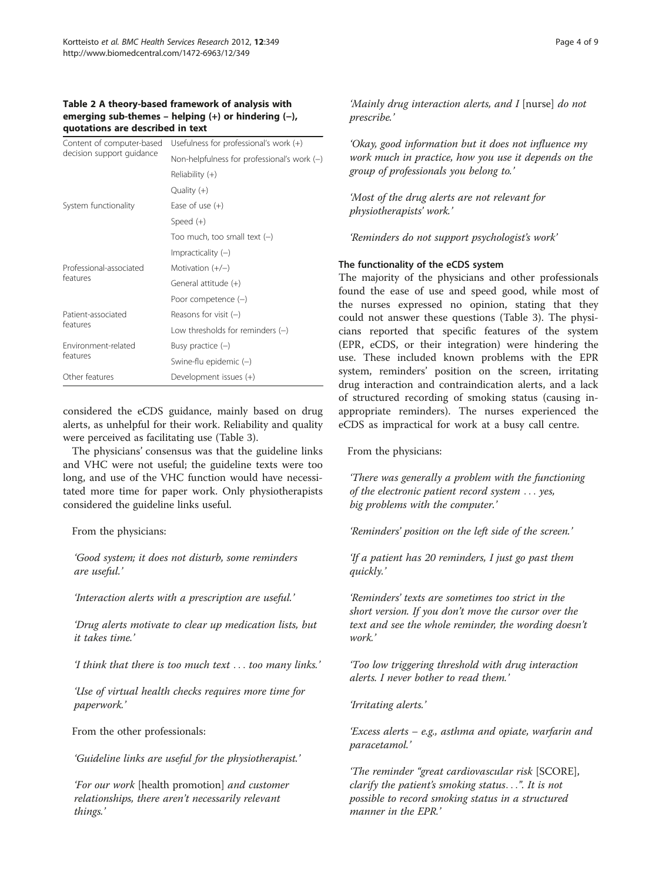#### <span id="page-3-0"></span>Table 2 A theory-based framework of analysis with emerging sub-themes – helping (+) or hindering (−), quotations are described in text

| Content of computer-based | Usefulness for professional's work $(+)$      |  |  |
|---------------------------|-----------------------------------------------|--|--|
| decision support quidance | Non-helpfulness for professional's work $(-)$ |  |  |
|                           | Reliability $(+)$                             |  |  |
|                           | Quality $(+)$                                 |  |  |
| System functionality      | Ease of use $(+)$                             |  |  |
|                           | Speed $(+)$                                   |  |  |
|                           | Too much, too small text $(-)$                |  |  |
|                           | Impracticality $(-)$                          |  |  |
| Professional-associated   | Motivation $(+/-)$                            |  |  |
| features                  | General attitude (+)                          |  |  |
|                           | Poor competence $(-)$                         |  |  |
| Patient-associated        | Reasons for visit $(-)$                       |  |  |
| features                  | Low thresholds for reminders $(-)$            |  |  |
| Environment-related       | Busy practice $(-)$                           |  |  |
| features                  | Swine-flu epidemic (-)                        |  |  |
| Other features            | Development issues (+)                        |  |  |

considered the eCDS guidance, mainly based on drug alerts, as unhelpful for their work. Reliability and quality were perceived as facilitating use (Table [3](#page-4-0)).

The physicians' consensus was that the guideline links and VHC were not useful; the guideline texts were too long, and use of the VHC function would have necessitated more time for paper work. Only physiotherapists considered the guideline links useful.

From the physicians:

'Good system; it does not disturb, some reminders are useful.'

'Interaction alerts with a prescription are useful.'

'Drug alerts motivate to clear up medication lists, but it takes time.'

'I think that there is too much text ... too many links.'

'Use of virtual health checks requires more time for paperwork.'

From the other professionals:

'Guideline links are useful for the physiotherapist.'

'For our work [health promotion] and customer relationships, there aren't necessarily relevant things.'

'Mainly drug interaction alerts, and I [nurse] do not prescribe.'

'Okay, good information but it does not influence my work much in practice, how you use it depends on the group of professionals you belong to.'

'Most of the drug alerts are not relevant for physiotherapists' work.'

'Reminders do not support psychologist's work'

# The functionality of the eCDS system

The majority of the physicians and other professionals found the ease of use and speed good, while most of the nurses expressed no opinion, stating that they could not answer these questions (Table [3](#page-4-0)). The physicians reported that specific features of the system (EPR, eCDS, or their integration) were hindering the use. These included known problems with the EPR system, reminders' position on the screen, irritating drug interaction and contraindication alerts, and a lack of structured recording of smoking status (causing inappropriate reminders). The nurses experienced the eCDS as impractical for work at a busy call centre.

From the physicians:

'There was generally a problem with the functioning of the electronic patient record system ... yes, big problems with the computer.'

'Reminders' position on the left side of the screen.'

'If a patient has 20 reminders, I just go past them quickly.'

'Reminders' texts are sometimes too strict in the short version. If you don't move the cursor over the text and see the whole reminder, the wording doesn't work.'

'Too low triggering threshold with drug interaction alerts. I never bother to read them.'

'Irritating alerts.'

'Excess alerts – e.g., asthma and opiate, warfarin and paracetamol.'

'The reminder "great cardiovascular risk [SCORE], clarify the patient's smoking status...". It is not possible to record smoking status in a structured manner in the EPR.'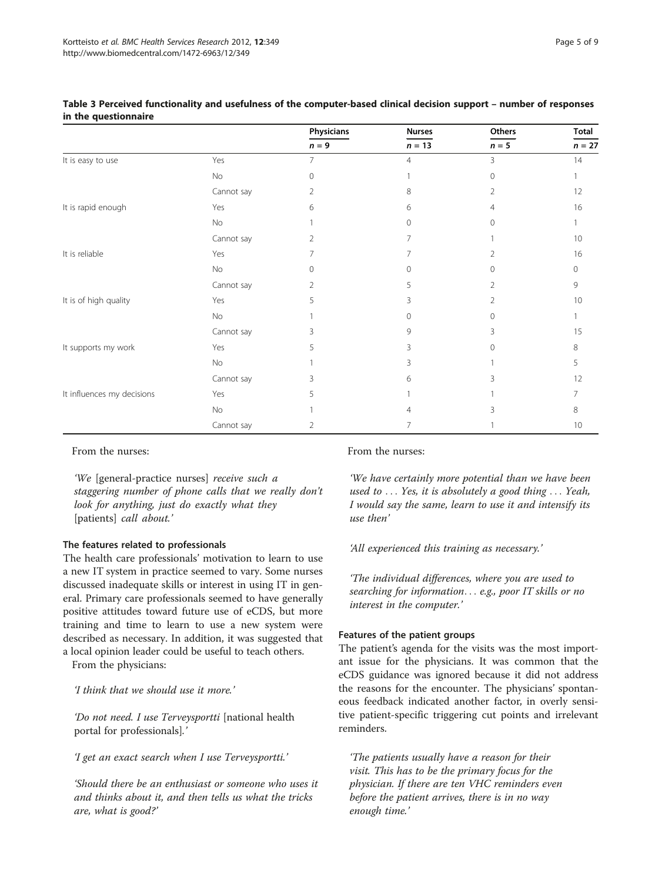|                            |            | Physicians<br>$n = 9$ | <b>Nurses</b><br>$n = 13$ | Others<br>$n=5$ | <b>Total</b><br>$n = 27$ |
|----------------------------|------------|-----------------------|---------------------------|-----------------|--------------------------|
|                            |            |                       |                           |                 |                          |
| It is easy to use          | Yes        | $\overline{7}$        | $\overline{4}$            | 3               | 14                       |
|                            | $\rm No$   | $\mathbf{0}$          |                           | 0               |                          |
|                            | Cannot say | 2                     | 8                         | 2               | 12                       |
| It is rapid enough         | Yes        | 6                     | 6                         | $\overline{4}$  | 16                       |
|                            | $\rm No$   |                       | $\mathbf 0$               | $\circ$         |                          |
|                            | Cannot say | $\overline{2}$        | 7                         |                 | 10                       |
| It is reliable             | Yes        | 7                     | 7                         | 2               | 16                       |
|                            | No         | $\Omega$              | $\mathbf{0}$              | 0               | $\circ$                  |
|                            | Cannot say | 2                     | 5                         | $\overline{2}$  | 9                        |
| It is of high quality      | Yes        | 5                     | 3                         | 2               | 10                       |
|                            | No         |                       | $\mathbf 0$               | $\Omega$        |                          |
|                            | Cannot say | 3                     | 9                         | 3               | 15                       |
| It supports my work        | Yes        | 5                     | 3                         | $\circ$         | 8                        |
|                            | No         |                       | 3                         |                 | 5                        |
|                            | Cannot say | 3                     | 6                         | 3               | 12                       |
| It influences my decisions | Yes        | 5.                    |                           |                 | 7                        |
|                            | No         |                       | 4                         | 3               | 8                        |
|                            | Cannot say | $\overline{2}$        | 7                         |                 | 10                       |

#### <span id="page-4-0"></span>Table 3 Perceived functionality and usefulness of the computer-based clinical decision support – number of responses in the questionnaire

From the nurses:

'We [general-practice nurses] receive such a staggering number of phone calls that we really don't look for anything, just do exactly what they [patients] call about.'

#### The features related to professionals

The health care professionals' motivation to learn to use a new IT system in practice seemed to vary. Some nurses discussed inadequate skills or interest in using IT in general. Primary care professionals seemed to have generally positive attitudes toward future use of eCDS, but more training and time to learn to use a new system were described as necessary. In addition, it was suggested that a local opinion leader could be useful to teach others.

From the physicians:

'I think that we should use it more.'

'Do not need. I use Terveysportti [national health portal for professionals].'

'I get an exact search when I use Terveysportti.'

'Should there be an enthusiast or someone who uses it and thinks about it, and then tells us what the tricks are, what is good?'

From the nurses:

'We have certainly more potential than we have been used to ... Yes, it is absolutely a good thing ... Yeah, I would say the same, learn to use it and intensify its use then'

'All experienced this training as necessary.'

'The individual differences, where you are used to searching for information... e.g., poor IT skills or no interest in the computer.'

#### Features of the patient groups

The patient's agenda for the visits was the most important issue for the physicians. It was common that the eCDS guidance was ignored because it did not address the reasons for the encounter. The physicians' spontaneous feedback indicated another factor, in overly sensitive patient-specific triggering cut points and irrelevant reminders.

'The patients usually have a reason for their visit. This has to be the primary focus for the physician. If there are ten VHC reminders even before the patient arrives, there is in no way enough time.'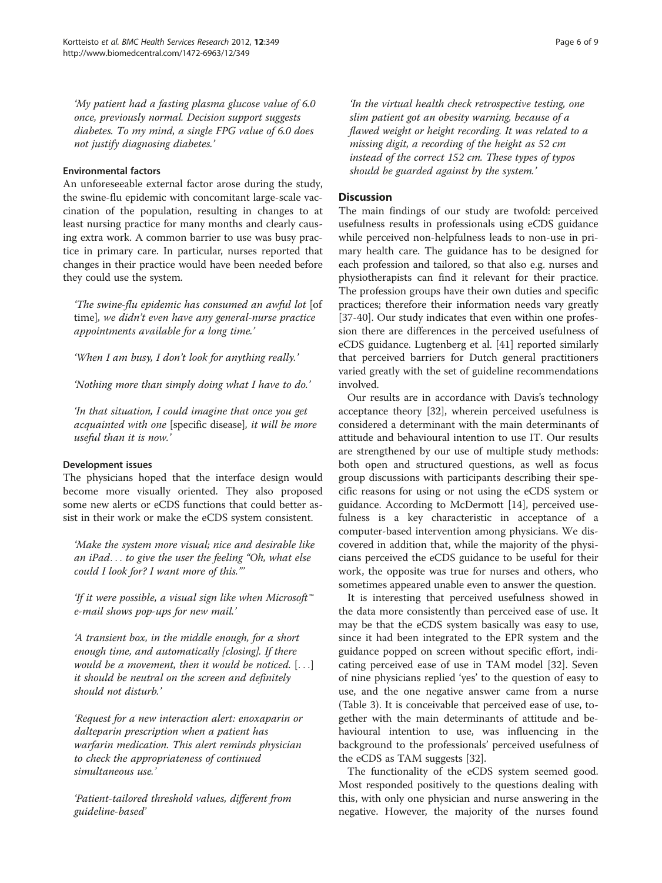'My patient had a fasting plasma glucose value of 6.0 once, previously normal. Decision support suggests diabetes. To my mind, a single FPG value of 6.0 does not justify diagnosing diabetes.'

#### Environmental factors

An unforeseeable external factor arose during the study, the swine-flu epidemic with concomitant large-scale vaccination of the population, resulting in changes to at least nursing practice for many months and clearly causing extra work. A common barrier to use was busy practice in primary care. In particular, nurses reported that changes in their practice would have been needed before they could use the system.

'The swine-flu epidemic has consumed an awful lot [of time], we didn't even have any general-nurse practice appointments available for a long time.'

'When I am busy, I don't look for anything really.'

'Nothing more than simply doing what I have to do.'

'In that situation, I could imagine that once you get acquainted with one [specific disease], it will be more useful than it is now.'

### Development issues

The physicians hoped that the interface design would become more visually oriented. They also proposed some new alerts or eCDS functions that could better assist in their work or make the eCDS system consistent.

'Make the system more visual; nice and desirable like an iPad... to give the user the feeling "Oh, what else could I look for? I want more of this."'

'If it were possible, a visual sign like when Microsoft<sup>™</sup> e-mail shows pop-ups for new mail.'

'A transient box, in the middle enough, for a short enough time, and automatically [closing]. If there would be a movement, then it would be noticed. [...] it should be neutral on the screen and definitely should not disturb.'

'Request for a new interaction alert: enoxaparin or dalteparin prescription when a patient has warfarin medication. This alert reminds physician to check the appropriateness of continued simultaneous use.'

'Patient-tailored threshold values, different from guideline-based'

'In the virtual health check retrospective testing, one slim patient got an obesity warning, because of a flawed weight or height recording. It was related to a missing digit, a recording of the height as 52 cm instead of the correct 152 cm. These types of typos should be guarded against by the system.'

# **Discussion**

The main findings of our study are twofold: perceived usefulness results in professionals using eCDS guidance while perceived non-helpfulness leads to non-use in primary health care. The guidance has to be designed for each profession and tailored, so that also e.g. nurses and physiotherapists can find it relevant for their practice. The profession groups have their own duties and specific practices; therefore their information needs vary greatly [[37-40](#page-8-0)]. Our study indicates that even within one profession there are differences in the perceived usefulness of eCDS guidance. Lugtenberg et al. [\[41](#page-8-0)] reported similarly that perceived barriers for Dutch general practitioners varied greatly with the set of guideline recommendations involved.

Our results are in accordance with Davis's technology acceptance theory [\[32\]](#page-7-0), wherein perceived usefulness is considered a determinant with the main determinants of attitude and behavioural intention to use IT. Our results are strengthened by our use of multiple study methods: both open and structured questions, as well as focus group discussions with participants describing their specific reasons for using or not using the eCDS system or guidance. According to McDermott [\[14](#page-7-0)], perceived usefulness is a key characteristic in acceptance of a computer-based intervention among physicians. We discovered in addition that, while the majority of the physicians perceived the eCDS guidance to be useful for their work, the opposite was true for nurses and others, who sometimes appeared unable even to answer the question.

It is interesting that perceived usefulness showed in the data more consistently than perceived ease of use. It may be that the eCDS system basically was easy to use, since it had been integrated to the EPR system and the guidance popped on screen without specific effort, indicating perceived ease of use in TAM model [[32\]](#page-7-0). Seven of nine physicians replied 'yes' to the question of easy to use, and the one negative answer came from a nurse (Table [3](#page-4-0)). It is conceivable that perceived ease of use, together with the main determinants of attitude and behavioural intention to use, was influencing in the background to the professionals' perceived usefulness of the eCDS as TAM suggests [[32](#page-7-0)].

The functionality of the eCDS system seemed good. Most responded positively to the questions dealing with this, with only one physician and nurse answering in the negative. However, the majority of the nurses found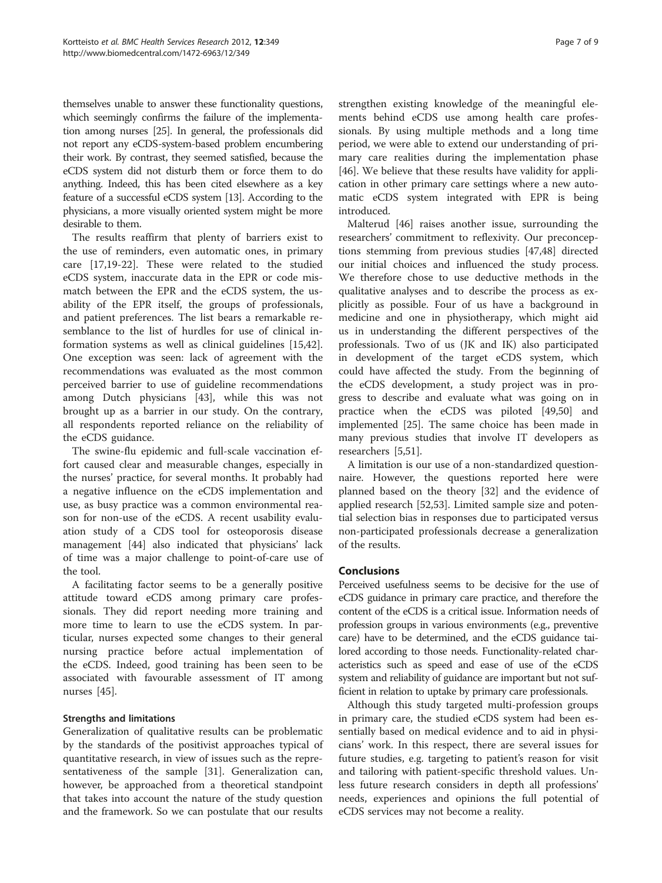themselves unable to answer these functionality questions, which seemingly confirms the failure of the implementation among nurses [\[25](#page-7-0)]. In general, the professionals did not report any eCDS-system-based problem encumbering their work. By contrast, they seemed satisfied, because the eCDS system did not disturb them or force them to do anything. Indeed, this has been cited elsewhere as a key feature of a successful eCDS system [\[13\]](#page-7-0). According to the physicians, a more visually oriented system might be more desirable to them.

The results reaffirm that plenty of barriers exist to the use of reminders, even automatic ones, in primary care [\[17,19-22](#page-7-0)]. These were related to the studied eCDS system, inaccurate data in the EPR or code mismatch between the EPR and the eCDS system, the usability of the EPR itself, the groups of professionals, and patient preferences. The list bears a remarkable resemblance to the list of hurdles for use of clinical information systems as well as clinical guidelines [\[15](#page-7-0)[,42](#page-8-0)]. One exception was seen: lack of agreement with the recommendations was evaluated as the most common perceived barrier to use of guideline recommendations among Dutch physicians [[43](#page-8-0)], while this was not brought up as a barrier in our study. On the contrary, all respondents reported reliance on the reliability of the eCDS guidance.

The swine-flu epidemic and full-scale vaccination effort caused clear and measurable changes, especially in the nurses' practice, for several months. It probably had a negative influence on the eCDS implementation and use, as busy practice was a common environmental reason for non-use of the eCDS. A recent usability evaluation study of a CDS tool for osteoporosis disease management [\[44](#page-8-0)] also indicated that physicians' lack of time was a major challenge to point-of-care use of the tool.

A facilitating factor seems to be a generally positive attitude toward eCDS among primary care professionals. They did report needing more training and more time to learn to use the eCDS system. In particular, nurses expected some changes to their general nursing practice before actual implementation of the eCDS. Indeed, good training has been seen to be associated with favourable assessment of IT among nurses [\[45](#page-8-0)].

### Strengths and limitations

Generalization of qualitative results can be problematic by the standards of the positivist approaches typical of quantitative research, in view of issues such as the representativeness of the sample [\[31\]](#page-7-0). Generalization can, however, be approached from a theoretical standpoint that takes into account the nature of the study question and the framework. So we can postulate that our results strengthen existing knowledge of the meaningful elements behind eCDS use among health care professionals. By using multiple methods and a long time period, we were able to extend our understanding of primary care realities during the implementation phase [[46\]](#page-8-0). We believe that these results have validity for application in other primary care settings where a new automatic eCDS system integrated with EPR is being introduced.

Malterud [\[46\]](#page-8-0) raises another issue, surrounding the researchers' commitment to reflexivity. Our preconceptions stemming from previous studies [[47](#page-8-0),[48](#page-8-0)] directed our initial choices and influenced the study process. We therefore chose to use deductive methods in the qualitative analyses and to describe the process as explicitly as possible. Four of us have a background in medicine and one in physiotherapy, which might aid us in understanding the different perspectives of the professionals. Two of us (JK and IK) also participated in development of the target eCDS system, which could have affected the study. From the beginning of the eCDS development, a study project was in progress to describe and evaluate what was going on in practice when the eCDS was piloted [\[49,50](#page-8-0)] and implemented [[25\]](#page-7-0). The same choice has been made in many previous studies that involve IT developers as researchers [[5,](#page-7-0)[51\]](#page-8-0).

A limitation is our use of a non-standardized questionnaire. However, the questions reported here were planned based on the theory [[32\]](#page-7-0) and the evidence of applied research [\[52,53\]](#page-8-0). Limited sample size and potential selection bias in responses due to participated versus non-participated professionals decrease a generalization of the results.

### **Conclusions**

Perceived usefulness seems to be decisive for the use of eCDS guidance in primary care practice, and therefore the content of the eCDS is a critical issue. Information needs of profession groups in various environments (e.g., preventive care) have to be determined, and the eCDS guidance tailored according to those needs. Functionality-related characteristics such as speed and ease of use of the eCDS system and reliability of guidance are important but not sufficient in relation to uptake by primary care professionals.

Although this study targeted multi-profession groups in primary care, the studied eCDS system had been essentially based on medical evidence and to aid in physicians' work. In this respect, there are several issues for future studies, e.g. targeting to patient's reason for visit and tailoring with patient-specific threshold values. Unless future research considers in depth all professions' needs, experiences and opinions the full potential of eCDS services may not become a reality.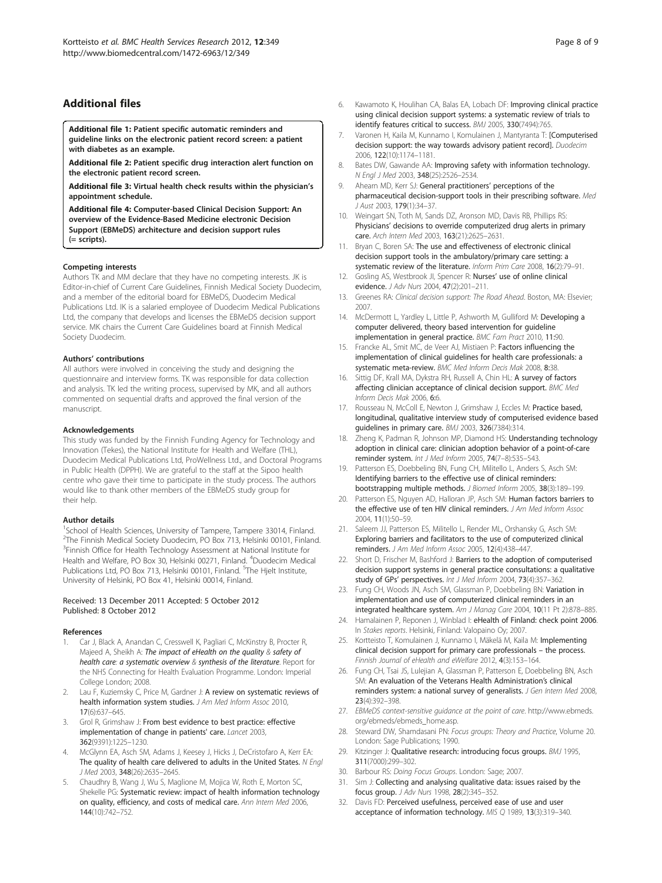# <span id="page-7-0"></span>Additional files

[Additional file 1:](http://www.biomedcentral.com/content/supplementary/1472-6963-12-349-S1.pdf) Patient specific automatic reminders and guideline links on the electronic patient record screen: a patient with diabetes as an example.

[Additional file 2:](http://www.biomedcentral.com/content/supplementary/1472-6963-12-349-S2.pdf) Patient specific drug interaction alert function on the electronic patient record screen.

[Additional file 3:](http://www.biomedcentral.com/content/supplementary/1472-6963-12-349-S3.pdf) Virtual health check results within the physician's appointment schedule.

[Additional file 4:](http://www.biomedcentral.com/content/supplementary/1472-6963-12-349-S4.pdf) Computer-based Clinical Decision Support: An overview of the Evidence-Based Medicine electronic Decision Support (EBMeDS) architecture and decision support rules (= scripts).

#### Competing interests

Authors TK and MM declare that they have no competing interests. JK is Editor-in-chief of Current Care Guidelines, Finnish Medical Society Duodecim, and a member of the editorial board for EBMeDS, Duodecim Medical Publications Ltd. IK is a salaried employee of Duodecim Medical Publications Ltd, the company that develops and licenses the EBMeDS decision support service. MK chairs the Current Care Guidelines board at Finnish Medical Society Duodecim.

#### Authors' contributions

All authors were involved in conceiving the study and designing the questionnaire and interview forms. TK was responsible for data collection and analysis. TK led the writing process, supervised by MK, and all authors commented on sequential drafts and approved the final version of the manuscript.

#### Acknowledgements

This study was funded by the Finnish Funding Agency for Technology and Innovation (Tekes), the National Institute for Health and Welfare (THL), Duodecim Medical Publications Ltd, ProWellness Ltd., and Doctoral Programs in Public Health (DPPH). We are grateful to the staff at the Sipoo health centre who gave their time to participate in the study process. The authors would like to thank other members of the EBMeDS study group for their help.

#### Author details

<sup>1</sup>School of Health Sciences, University of Tampere, Tampere 33014, Finland. <sup>2</sup>The Finnish Medical Society Duodecim, PO Box 713, Helsinki 00101, Finland. <sup>3</sup> Finnish Office for Health Technology Assessment at National Institute for Health and Welfare, PO Box 30, Helsinki 00271, Finland. <sup>4</sup>Duodecim Medical Publications Ltd, PO Box 713, Helsinki 00101, Finland. <sup>5</sup>The Hjelt Institute, University of Helsinki, PO Box 41, Helsinki 00014, Finland.

#### Received: 13 December 2011 Accepted: 5 October 2012 Published: 8 October 2012

#### References

- 1. Car J, Black A, Anandan C, Cresswell K, Pagliari C, McKinstry B, Procter R, Majeed A, Sheikh A: The impact of eHealth on the quality & safety of health care: a systematic overview & synthesis of the literature. Report for the NHS Connecting for Health Evaluation Programme. London: Imperial College London; 2008.
- 2. Lau F, Kuziemsky C, Price M, Gardner J: A review on systematic reviews of health information system studies. J Am Med Inform Assoc 2010, 17(6):637–645.
- 3. Grol R, Grimshaw J: From best evidence to best practice: effective implementation of change in patients' care. Lancet 2003, 362(9391):1225–1230.
- 4. McGlynn EA, Asch SM, Adams J, Keesey J, Hicks J, DeCristofaro A, Kerr EA: The quality of health care delivered to adults in the United States. N Engl J Med 2003, 348(26):2635–2645.
- 5. Chaudhry B, Wang J, Wu S, Maglione M, Mojica W, Roth E, Morton SC, Shekelle PG: Systematic review: impact of health information technology on quality, efficiency, and costs of medical care. Ann Intern Med 2006, 144(10):742–752.
- 6. Kawamoto K, Houlihan CA, Balas EA, Lobach DF: Improving clinical practice using clinical decision support systems: a systematic review of trials to identify features critical to success. BMJ 2005, 330(7494):765
- 7. Varonen H, Kaila M, Kunnamo I, Komulainen J, Mantyranta T: **[Computerised**] decision support: the way towards advisory patient record]. Duodecim 2006, 122(10):1174–1181.
- 8. Bates DW, Gawande AA: Improving safety with information technology. N Engl J Med 2003, 348(25):2526–2534.
- 9. Ahearn MD, Kerr SJ: General practitioners' perceptions of the pharmaceutical decision-support tools in their prescribing software. Med J Aust 2003, 179(1):34–37.
- 10. Weingart SN, Toth M, Sands DZ, Aronson MD, Davis RB, Phillips RS: Physicians' decisions to override computerized drug alerts in primary care. Arch Intern Med 2003, 163(21):2625–2631.
- 11. Bryan C, Boren SA: The use and effectiveness of electronic clinical decision support tools in the ambulatory/primary care setting: a systematic review of the literature. Inform Prim Care 2008, 16(2):79–91.
- 12. Gosling AS, Westbrook JI, Spencer R: Nurses' use of online clinical evidence. J Adv Nurs 2004, 47(2):201–211.
- 13. Greenes RA: Clinical decision support: The Road Ahead. Boston, MA: Elsevier; 2007.
- 14. McDermott L, Yardley L, Little P, Ashworth M, Gulliford M: Developing a computer delivered, theory based intervention for guideline implementation in general practice. BMC Fam Pract 2010, 11:90.
- 15. Francke AL, Smit MC, de Veer AJ, Mistiaen P: Factors influencing the implementation of clinical guidelines for health care professionals: a systematic meta-review. BMC Med Inform Decis Mak 2008, 8:38.
- 16. Sittig DF, Krall MA, Dykstra RH, Russell A, Chin HL: A survey of factors affecting clinician acceptance of clinical decision support. BMC Med Inform Decis Mak 2006, 6:6.
- 17. Rousseau N, McColl E, Newton J, Grimshaw J, Eccles M: Practice based, longitudinal, qualitative interview study of computerised evidence based guidelines in primary care. BMJ 2003, 326(7384):314.
- 18. Zheng K, Padman R, Johnson MP, Diamond HS: Understanding technology adoption in clinical care: clinician adoption behavior of a point-of-care reminder system. Int J Med Inform 2005, 74(7–8):535–543.
- 19. Patterson ES, Doebbeling BN, Fung CH, Militello L, Anders S, Asch SM: Identifying barriers to the effective use of clinical reminders: bootstrapping multiple methods. J Biomed Inform 2005, 38(3):189–199.
- 20. Patterson ES, Nguyen AD, Halloran JP, Asch SM: Human factors barriers to the effective use of ten HIV clinical reminders. J Am Med Inform Assoc 2004, 11(1):50–59.
- 21. Saleem JJ, Patterson ES, Militello L, Render ML, Orshansky G, Asch SM: Exploring barriers and facilitators to the use of computerized clinical reminders. J Am Med Inform Assoc 2005, 12(4):438–447.
- 22. Short D, Frischer M, Bashford J: Barriers to the adoption of computerised decision support systems in general practice consultations: a qualitative study of GPs' perspectives. Int J Med Inform 2004, 73(4):357-362.
- 23. Fung CH, Woods JN, Asch SM, Glassman P, Doebbeling BN: Variation in implementation and use of computerized clinical reminders in an integrated healthcare system. Am J Manag Care 2004, 10(11 Pt 2):878–885.
- 24. Hamalainen P, Reponen J, Winblad I: eHealth of Finland: check point 2006. In Stakes reports. Helsinki, Finland: Valopaino Oy; 2007.
- 25. Kortteisto T, Komulainen J, Kunnamo I, Mäkelä M, Kaila M: Implementing clinical decision support for primary care professionals – the process. Finnish Journal of eHealth and eWelfare 2012, 4(3):153–164.
- 26. Fung CH, Tsai JS, Lulejian A, Glassman P, Patterson E, Doebbeling BN, Asch SM: An evaluation of the Veterans Health Administration's clinical reminders system: a national survey of generalists. J Gen Intern Med 2008, 23(4):392–398.
- 27. EBMeDS context-sensitive guidance at the point of care. [http://www.ebmeds.](http://www.ebmeds.org/ebmeds/ebmeds_home.asp) [org/ebmeds/ebmeds\\_home.asp](http://www.ebmeds.org/ebmeds/ebmeds_home.asp).
- 28. Steward DW, Shamdasani PN: Focus groups: Theory and Practice, Volume 20. London: Sage Publications; 1990.
- 29. Kitzinger J: Qualitative research: introducing focus groups. BMJ 1995, 311(7000):299–302.
- 30. Barbour RS: Doing Focus Groups. London: Sage; 2007.
- 31. Sim J: Collecting and analysing qualitative data: issues raised by the focus group. J Adv Nurs 1998, 28(2):345–352.
- 32. Davis FD: Perceived usefulness, perceived ease of use and user acceptance of information technology. MIS Q 1989, 13(3):319–340.